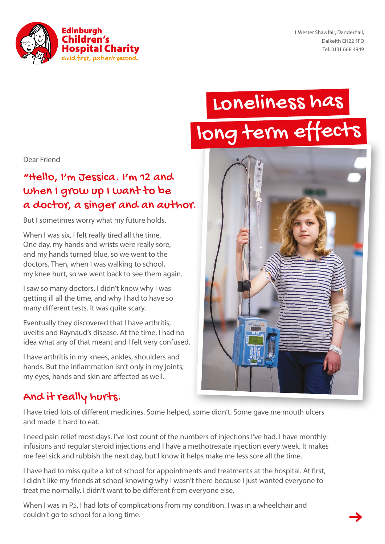

1 Wester Shawfair, Danderhall, Dalkeith EH22 1FD Tel: 0131 668 4949

# Loneliness has long term effect



#### Dear Friend

#### "Hello, I'm Jessica. I'm 12 and when I grow up I want to be a doctor, a singer and an author.

But I sometimes worry what my future holds.

When I was six, I felt really tired all the time. One day, my hands and wrists were really sore, and my hands turned blue, so we went to the doctors. Then, when I was walking to school, my knee hurt, so we went back to see them again.

I saw so many doctors. I didn't know why I was getting ill all the time, and why I had to have so many different tests. It was quite scary.

Eventually they discovered that I have arthritis, uveitis and Raynaud's disease. At the time, I had no idea what any of that meant and I felt very confused.

I have arthritis in my knees, ankles, shoulders and hands. But the inflammation isn't only in my joints; my eyes, hands and skin are affected as well.

#### And it really hurts.

I have tried lots of different medicines. Some helped, some didn't. Some gave me mouth ulcers and made it hard to eat.

I need pain relief most days. I've lost count of the numbers of injections I've had. I have monthly infusions and regular steroid injections and I have a methotrexate injection every week. It makes me feel sick and rubbish the next day, but I know it helps make me less sore all the time.

I have had to miss quite a lot of school for appointments and treatments at the hospital. At first, I didn't like my friends at school knowing why I wasn't there because I just wanted everyone to treat me normally. I didn't want to be different from everyone else.

When I was in P5, I had lots of complications from my condition. I was in a wheelchair and couldn't go to school for a long time.